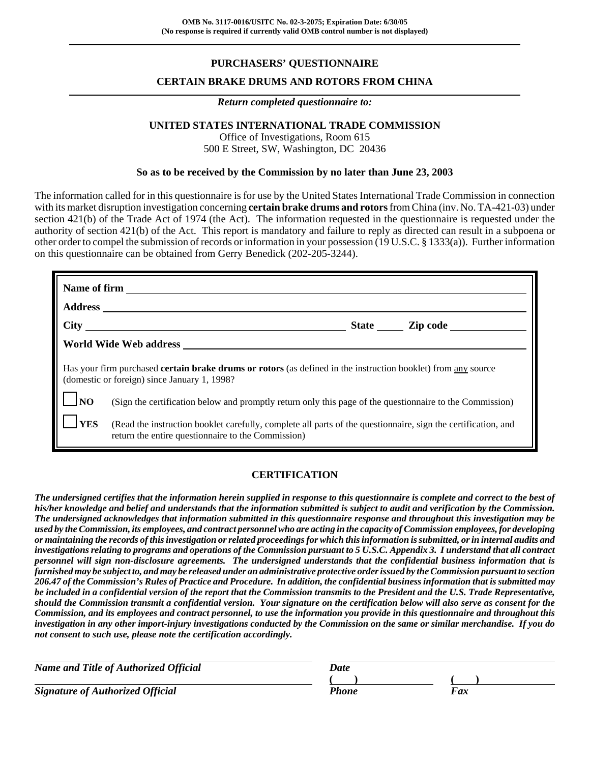# **PURCHASERS' QUESTIONNAIRE**

### **CERTAIN BRAKE DRUMS AND ROTORS FROM CHINA**

#### *Return completed questionnaire to:*

#### **UNITED STATES INTERNATIONAL TRADE COMMISSION**

Office of Investigations, Room 615 500 E Street, SW, Washington, DC 20436

#### **So as to be received by the Commission by no later than June 23, 2003**

The information called for in this questionnaire is for use by the United States International Trade Commission in connection with its market disruption investigation concerning **certain brake drums and rotors** from China (inv. No. TA-421-03) under section 421(b) of the Trade Act of 1974 (the Act). The information requested in the questionnaire is requested under the authority of section 421(b) of the Act. This report is mandatory and failure to reply as directed can result in a subpoena or other order to compel the submission of records or information in your possession (19 U.S.C. § 1333(a)). Further information on this questionnaire can be obtained from Gerry Benedick (202-205-3244).

| State Zip code                                                                                                                                                       |                                                                                                                                                                     |  |  |  |  |  |  |
|----------------------------------------------------------------------------------------------------------------------------------------------------------------------|---------------------------------------------------------------------------------------------------------------------------------------------------------------------|--|--|--|--|--|--|
|                                                                                                                                                                      | World Wide Web address                                                                                                                                              |  |  |  |  |  |  |
| Has your firm purchased <b>certain brake drums or rotors</b> (as defined in the instruction booklet) from any source<br>(domestic or foreign) since January 1, 1998? |                                                                                                                                                                     |  |  |  |  |  |  |
| <b>INO</b>                                                                                                                                                           | (Sign the certification below and promptly return only this page of the questionnaire to the Commission)                                                            |  |  |  |  |  |  |
| <b>YES</b>                                                                                                                                                           | (Read the instruction booklet carefully, complete all parts of the questionnaire, sign the certification, and<br>return the entire questionnaire to the Commission) |  |  |  |  |  |  |

### **CERTIFICATION**

*The undersigned certifies that the information herein supplied in response to this questionnaire is complete and correct to the best of his/her knowledge and belief and understands that the information submitted is subject to audit and verification by the Commission. The undersigned acknowledges that information submitted in this questionnaire response and throughout this investigation may be used by the Commission, its employees, and contract personnel who are acting in the capacity of Commission employees, for developing or maintaining the records of this investigation or related proceedings for which this information is submitted, or in internal audits and investigations relating to programs and operations of the Commission pursuant to 5 U.S.C. Appendix 3. I understand that all contract personnel will sign non-disclosure agreements. The undersigned understands that the confidential business information that is furnished may be subject to, and may be released under an administrative protective order issued by the Commission pursuant to section 206.47 of the Commission's Rules of Practice and Procedure. In addition, the confidential business information that is submitted may be included in a confidential version of the report that the Commission transmits to the President and the U.S. Trade Representative, should the Commission transmit a confidential version. Your signature on the certification below will also serve as consent for the Commission, and its employees and contract personnel, to use the information you provide in this questionnaire and throughout this investigation in any other import-injury investigations conducted by the Commission on the same or similar merchandise. If you do not consent to such use, please note the certification accordingly.*

| Name and Title of Authorized Official   | Date  |     |
|-----------------------------------------|-------|-----|
|                                         |       |     |
| <b>Signature of Authorized Official</b> | Phone | Fax |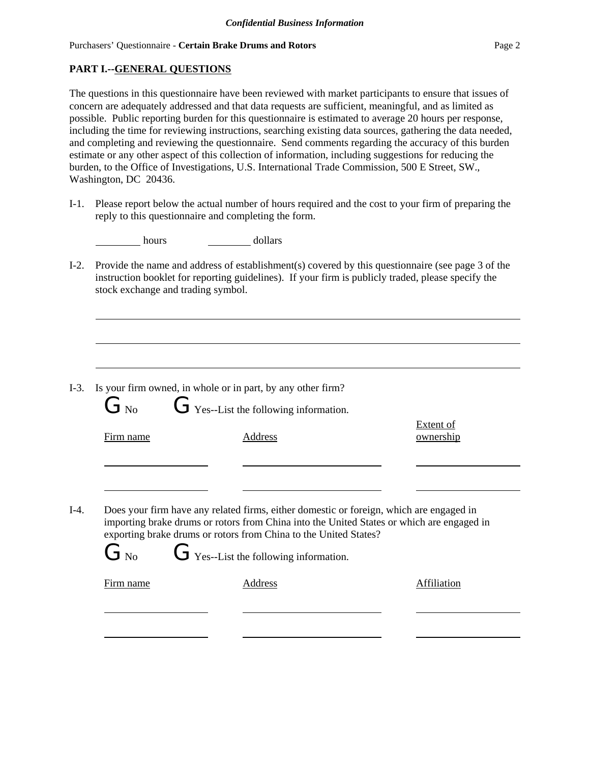## **PART I.--GENERAL QUESTIONS**

The questions in this questionnaire have been reviewed with market participants to ensure that issues of concern are adequately addressed and that data requests are sufficient, meaningful, and as limited as possible. Public reporting burden for this questionnaire is estimated to average 20 hours per response, including the time for reviewing instructions, searching existing data sources, gathering the data needed, and completing and reviewing the questionnaire. Send comments regarding the accuracy of this burden estimate or any other aspect of this collection of information, including suggestions for reducing the burden, to the Office of Investigations, U.S. International Trade Commission, 500 E Street, SW., Washington, DC 20436.

I-1. Please report below the actual number of hours required and the cost to your firm of preparing the reply to this questionnaire and completing the form.

| hours | dollars |
|-------|---------|
|       |         |

I-2. Provide the name and address of establishment(s) covered by this questionnaire (see page 3 of the instruction booklet for reporting guidelines). If your firm is publicly traded, please specify the stock exchange and trading symbol.

|                   | I-3. Is your firm owned, in whole or in part, by any other firm?                                                                                                                                                                                                                                                                                                                     |  |
|-------------------|--------------------------------------------------------------------------------------------------------------------------------------------------------------------------------------------------------------------------------------------------------------------------------------------------------------------------------------------------------------------------------------|--|
|                   |                                                                                                                                                                                                                                                                                                                                                                                      |  |
| $\mathsf{L}$ J No | $\overline{1}$ $\overline{1}$ $\overline{1}$ $\overline{1}$ $\overline{1}$ $\overline{1}$ $\overline{1}$ $\overline{1}$ $\overline{1}$ $\overline{1}$ $\overline{1}$ $\overline{1}$ $\overline{1}$ $\overline{1}$ $\overline{1}$ $\overline{1}$ $\overline{1}$ $\overline{1}$ $\overline{1}$ $\overline{1}$ $\overline{1}$ $\overline{1}$ $\overline{1}$ $\overline{1}$ $\overline{$ |  |

| Firm name | Address                                                                                                                                                                              | Extent of<br>ownership |
|-----------|--------------------------------------------------------------------------------------------------------------------------------------------------------------------------------------|------------------------|
|           |                                                                                                                                                                                      |                        |
|           | Does your firm have any related firms, either domestic or foreign, which are engaged in<br>importing brake drums or rotors from China into the United States or which are engaged in |                        |
| $G_{N_0}$ | exporting brake drums or rotors from China to the United States?<br>$G$ Yes--List the following information.                                                                         |                        |
| Firm name | Address                                                                                                                                                                              | Affiliation            |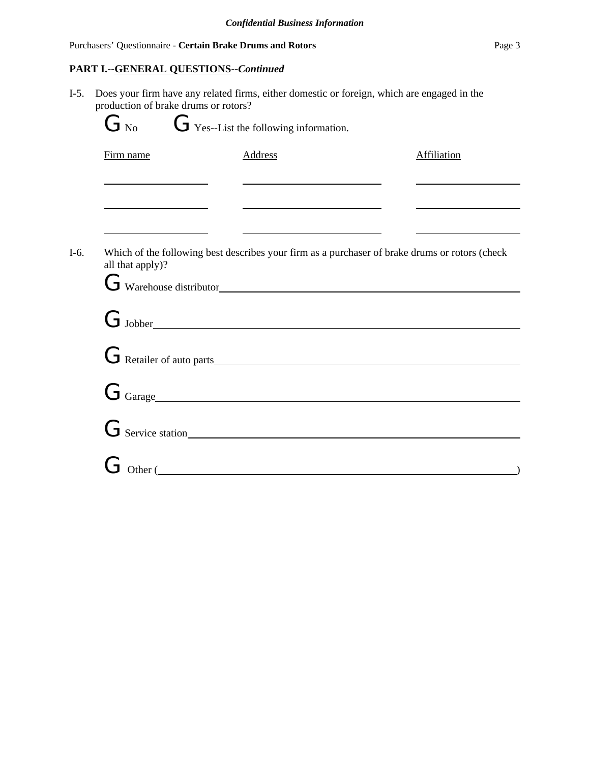# Purchasers' Questionnaire - **Certain Brake Drums and Rotors** Page 3

# **PART I.--GENERAL QUESTIONS--***Continued*

| $I-5.$ | Does your firm have any related firms, either domestic or foreign, which are engaged in the<br>production of brake drums or rotors?<br>$G$ Yes--List the following information.<br>$G_{\text{No}}$ |                                                                                                                                                                                  |             |  |  |  |  |  |  |
|--------|----------------------------------------------------------------------------------------------------------------------------------------------------------------------------------------------------|----------------------------------------------------------------------------------------------------------------------------------------------------------------------------------|-------------|--|--|--|--|--|--|
|        | Firm name                                                                                                                                                                                          | Address                                                                                                                                                                          | Affiliation |  |  |  |  |  |  |
|        | <u> 1989 - Johann Barnett, fransk politiker (d. 1989)</u>                                                                                                                                          | <u> 1989 - Johann Barn, mars ann an t-Amhain an t-Amhain an t-Amhain an t-Amhain an t-Amhain an t-Amhain an t-Amh</u><br><u> 1980 - Johann Barnett, fransk politik (d. 1980)</u> |             |  |  |  |  |  |  |
|        |                                                                                                                                                                                                    | <u> 1989 - John Stein, Amerikaansk politiker (</u>                                                                                                                               |             |  |  |  |  |  |  |
| $I-6.$ | Which of the following best describes your firm as a purchaser of brake drums or rotors (check<br>all that apply)?<br>G Warehouse distributor                                                      |                                                                                                                                                                                  |             |  |  |  |  |  |  |
|        |                                                                                                                                                                                                    | $G_{\text{Jobber}}$                                                                                                                                                              |             |  |  |  |  |  |  |
|        |                                                                                                                                                                                                    | G Retailer of auto parts                                                                                                                                                         |             |  |  |  |  |  |  |
|        |                                                                                                                                                                                                    | $G_{\text{Garge}}$                                                                                                                                                               |             |  |  |  |  |  |  |
|        |                                                                                                                                                                                                    | $G$ Service station                                                                                                                                                              |             |  |  |  |  |  |  |
|        |                                                                                                                                                                                                    | Other (                                                                                                                                                                          |             |  |  |  |  |  |  |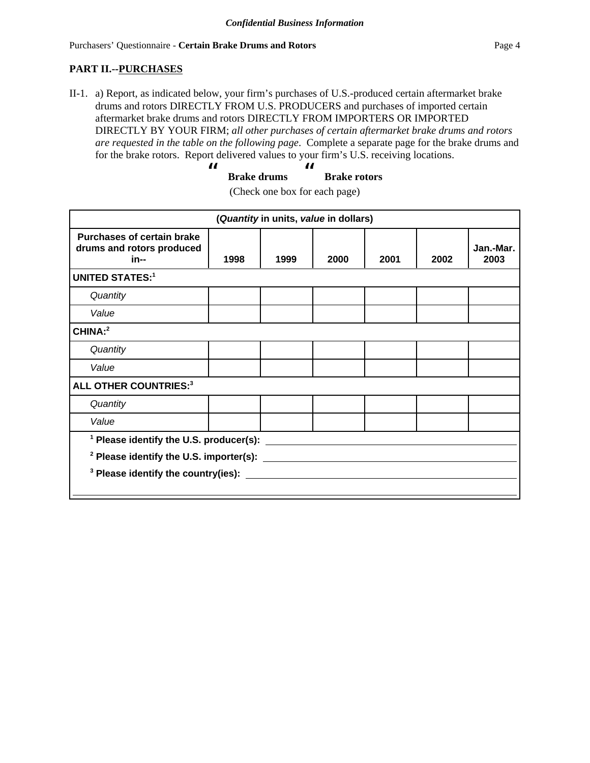## **PART II.--PURCHASES**

II-1. a) Report, as indicated below, your firm's purchases of U.S.-produced certain aftermarket brake drums and rotors DIRECTLY FROM U.S. PRODUCERS and purchases of imported certain aftermarket brake drums and rotors DIRECTLY FROM IMPORTERS OR IMPORTED DIRECTLY BY YOUR FIRM; *all other purchases of certain aftermarket brake drums and rotors are requested in the table on the following page*. Complete a separate page for the brake drums and for the brake rotors. Report delivered values to your firm's U.S. receiving locations.

| Ш |                    | И |                     |
|---|--------------------|---|---------------------|
|   | <b>Brake drums</b> |   | <b>Brake rotors</b> |

| (Quantity in units, value in dollars)                                  |                                           |      |      |      |      |                   |
|------------------------------------------------------------------------|-------------------------------------------|------|------|------|------|-------------------|
| <b>Purchases of certain brake</b><br>drums and rotors produced<br>in-- | 1998                                      | 1999 | 2000 | 2001 | 2002 | Jan.-Mar.<br>2003 |
| <b>UNITED STATES:1</b>                                                 |                                           |      |      |      |      |                   |
| Quantity                                                               |                                           |      |      |      |      |                   |
| Value                                                                  |                                           |      |      |      |      |                   |
| CHINA:2                                                                |                                           |      |      |      |      |                   |
| Quantity                                                               |                                           |      |      |      |      |                   |
| Value                                                                  |                                           |      |      |      |      |                   |
| <b>ALL OTHER COUNTRIES:3</b>                                           |                                           |      |      |      |      |                   |
| Quantity                                                               |                                           |      |      |      |      |                   |
| Value                                                                  |                                           |      |      |      |      |                   |
|                                                                        | $1$ Please identify the U.S. producer(s): |      |      |      |      |                   |
| <sup>2</sup> Please identify the U.S. importer(s): ______              |                                           |      |      |      |      |                   |
| <sup>3</sup> Please identify the country(ies): ______                  |                                           |      |      |      |      |                   |
|                                                                        |                                           |      |      |      |      |                   |

(Check one box for each page)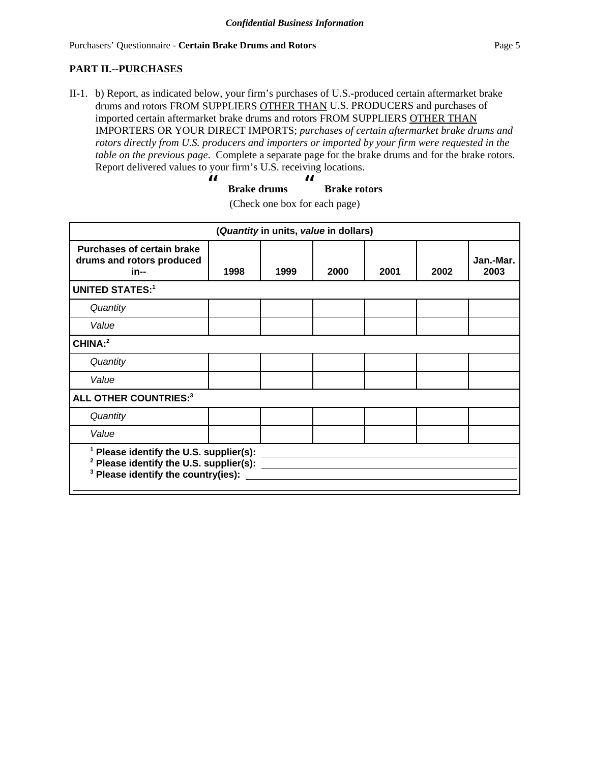# **PART II.--PURCHASES**

II-1. b) Report, as indicated below, your firm's purchases of U.S.-produced certain aftermarket brake drums and rotors FROM SUPPLIERS OTHER THAN U.S. PRODUCERS and purchases of imported certain aftermarket brake drums and rotors FROM SUPPLIERS OTHER THAN IMPORTERS OR YOUR DIRECT IMPORTS; *purchases of certain aftermarket brake drums and rotors directly from U.S. producers and importers or imported by your firm were requested in the table on the previous page*. Complete a separate page for the brake drums and for the brake rotors. Report delivered values to your firm's U.S. receiving locations.

$$
u B make drums B rate rotors
$$

| (Check one box for each page) |  |  |  |  |  |
|-------------------------------|--|--|--|--|--|
|-------------------------------|--|--|--|--|--|

| (Quantity in units, value in dollars)                                  |                                                                                                                                          |      |      |      |      |                   |  |
|------------------------------------------------------------------------|------------------------------------------------------------------------------------------------------------------------------------------|------|------|------|------|-------------------|--|
| <b>Purchases of certain brake</b><br>drums and rotors produced<br>in-- | 1998                                                                                                                                     | 1999 | 2000 | 2001 | 2002 | Jan.-Mar.<br>2003 |  |
| <b>UNITED STATES:1</b>                                                 |                                                                                                                                          |      |      |      |      |                   |  |
| Quantity                                                               |                                                                                                                                          |      |      |      |      |                   |  |
| Value                                                                  |                                                                                                                                          |      |      |      |      |                   |  |
| CHINA:2                                                                |                                                                                                                                          |      |      |      |      |                   |  |
| Quantity                                                               |                                                                                                                                          |      |      |      |      |                   |  |
| Value                                                                  |                                                                                                                                          |      |      |      |      |                   |  |
| <b>ALL OTHER COUNTRIES:3</b>                                           |                                                                                                                                          |      |      |      |      |                   |  |
| Quantity                                                               |                                                                                                                                          |      |      |      |      |                   |  |
| Value                                                                  |                                                                                                                                          |      |      |      |      |                   |  |
|                                                                        | $1$ Please identify the U.S. supplier(s):<br><sup>2</sup> Please identify the U.S. supplier(s):<br>$3$ Please identify the country(ies): |      |      |      |      |                   |  |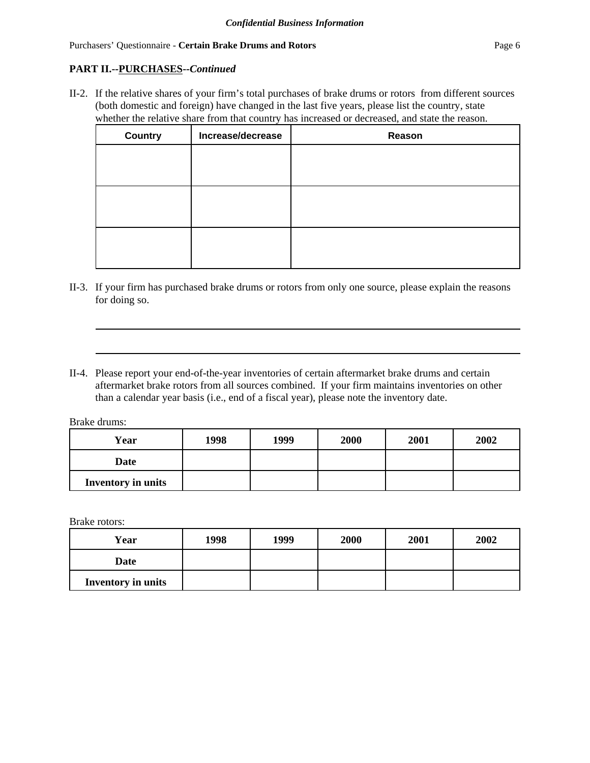#### Purchasers' Questionnaire - **Certain Brake Drums and Rotors Page 6 Page 6 Page 6**

## **PART II.--PURCHASES--***Continued*

II-2. If the relative shares of your firm's total purchases of brake drums or rotors from different sources (both domestic and foreign) have changed in the last five years, please list the country, state whether the relative share from that country has increased or decreased, and state the reason.

| <b>Country</b> | Increase/decrease | Reason |
|----------------|-------------------|--------|
|                |                   |        |
|                |                   |        |
|                |                   |        |
|                |                   |        |
|                |                   |        |
|                |                   |        |

- II-3. If your firm has purchased brake drums or rotors from only one source, please explain the reasons for doing so.
- II-4. Please report your end-of-the-year inventories of certain aftermarket brake drums and certain aftermarket brake rotors from all sources combined. If your firm maintains inventories on other than a calendar year basis (i.e., end of a fiscal year), please note the inventory date.

Brake drums:

| Year                      | 1998 | 1999 | 2000 | 2001 | 2002 |
|---------------------------|------|------|------|------|------|
| <b>Date</b>               |      |      |      |      |      |
| <b>Inventory in units</b> |      |      |      |      |      |

Brake rotors:

| Year                      | 1998 | 1999 | 2000 | 2001 | 2002 |
|---------------------------|------|------|------|------|------|
| Date                      |      |      |      |      |      |
| <b>Inventory in units</b> |      |      |      |      |      |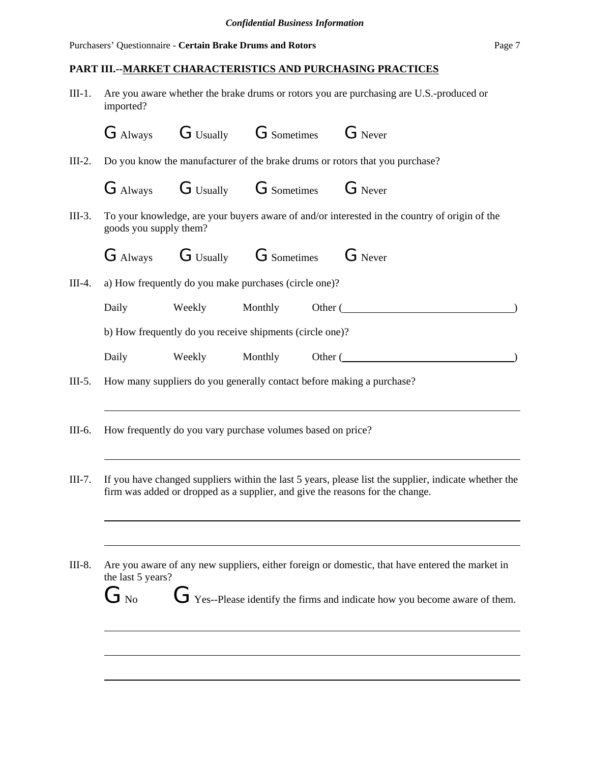## **PART III.--MARKET CHARACTERISTICS AND PURCHASING PRACTICES**

III-1. Are you aware whether the brake drums or rotors you are purchasing are U.S.-produced or imported?

|          |                              |        |                                                             | G Always G Usually G Sometimes G Never                                                                                                                                                 |
|----------|------------------------------|--------|-------------------------------------------------------------|----------------------------------------------------------------------------------------------------------------------------------------------------------------------------------------|
| $III-2.$ |                              |        |                                                             | Do you know the manufacturer of the brake drums or rotors that you purchase?                                                                                                           |
|          |                              |        |                                                             | G Always G Usually G Sometimes G Never                                                                                                                                                 |
| $III-3.$ | goods you supply them?       |        |                                                             | To your knowledge, are your buyers aware of and/or interested in the country of origin of the                                                                                          |
|          |                              |        |                                                             | G Always G Usually G Sometimes G Never                                                                                                                                                 |
| $III-4.$ |                              |        | a) How frequently do you make purchases (circle one)?       |                                                                                                                                                                                        |
|          | Daily                        |        |                                                             | Weekly Monthly Other (                                                                                                                                                                 |
|          |                              |        | b) How frequently do you receive shipments (circle one)?    |                                                                                                                                                                                        |
|          | Daily                        | Weekly |                                                             | Monthly Other (                                                                                                                                                                        |
| $III-5.$ |                              |        |                                                             | How many suppliers do you generally contact before making a purchase?                                                                                                                  |
| III-6.   |                              |        | How frequently do you vary purchase volumes based on price? |                                                                                                                                                                                        |
| $III-7.$ |                              |        |                                                             | If you have changed suppliers within the last 5 years, please list the supplier, indicate whether the<br>firm was added or dropped as a supplier, and give the reasons for the change. |
|          |                              |        |                                                             |                                                                                                                                                                                        |
| III-8.   | the last 5 years?            |        |                                                             | Are you aware of any new suppliers, either foreign or domestic, that have entered the market in                                                                                        |
|          | $\mathrm{G}_{\,\mathrm{No}}$ |        |                                                             | $\triangleright$ Yes--Please identify the firms and indicate how you become aware of them.                                                                                             |
|          |                              |        |                                                             |                                                                                                                                                                                        |
|          |                              |        |                                                             |                                                                                                                                                                                        |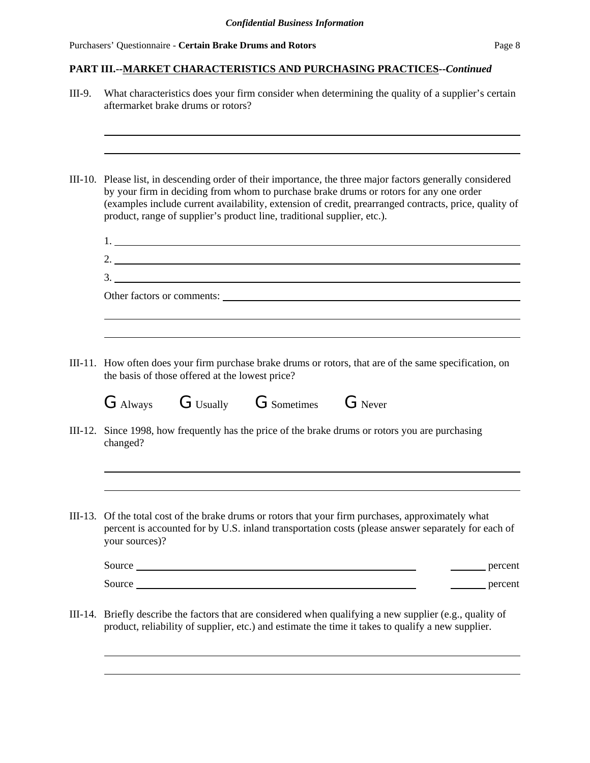# **PART III.--MARKET CHARACTERISTICS AND PURCHASING PRACTICES--***Continued*

| III-9. | What characteristics does your firm consider when determining the quality of a supplier's certain<br>aftermarket brake drums or rotors?                                                                                                                                                                                                                                                  |
|--------|------------------------------------------------------------------------------------------------------------------------------------------------------------------------------------------------------------------------------------------------------------------------------------------------------------------------------------------------------------------------------------------|
|        | III-10. Please list, in descending order of their importance, the three major factors generally considered<br>by your firm in deciding from whom to purchase brake drums or rotors for any one order<br>(examples include current availability, extension of credit, prearranged contracts, price, quality of<br>product, range of supplier's product line, traditional supplier, etc.). |
|        | $1.$ $\overline{\phantom{a}}$                                                                                                                                                                                                                                                                                                                                                            |
|        |                                                                                                                                                                                                                                                                                                                                                                                          |
|        |                                                                                                                                                                                                                                                                                                                                                                                          |
|        | Other factors or comments:                                                                                                                                                                                                                                                                                                                                                               |
|        |                                                                                                                                                                                                                                                                                                                                                                                          |
|        | III-11. How often does your firm purchase brake drums or rotors, that are of the same specification, on<br>the basis of those offered at the lowest price?                                                                                                                                                                                                                               |
|        | G Always G Usually G Sometimes G Never                                                                                                                                                                                                                                                                                                                                                   |
|        | III-12. Since 1998, how frequently has the price of the brake drums or rotors you are purchasing<br>changed?                                                                                                                                                                                                                                                                             |
|        |                                                                                                                                                                                                                                                                                                                                                                                          |
|        | III-13. Of the total cost of the brake drums or rotors that your firm purchases, approximately what<br>percent is accounted for by U.S. inland transportation costs (please answer separately for each of<br>your sources)?                                                                                                                                                              |
|        | percent                                                                                                                                                                                                                                                                                                                                                                                  |
|        | percent                                                                                                                                                                                                                                                                                                                                                                                  |
|        | III-14. Briefly describe the factors that are considered when qualifying a new supplier (e.g., quality of<br>product, reliability of supplier, etc.) and estimate the time it takes to qualify a new supplier.                                                                                                                                                                           |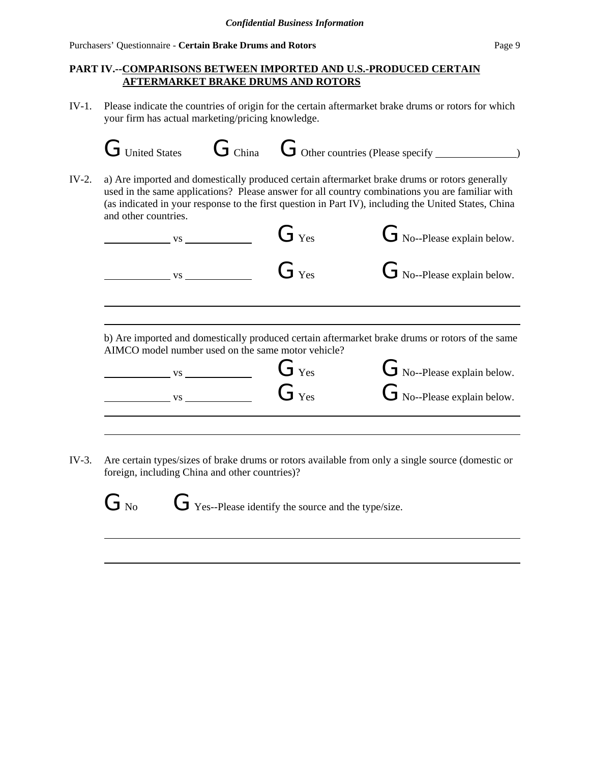### **PART IV.--COMPARISONS BETWEEN IMPORTED AND U.S.-PRODUCED CERTAIN AFTERMARKET BRAKE DRUMS AND ROTORS**

IV-1. Please indicate the countries of origin for the certain aftermarket brake drums or rotors for which your firm has actual marketing/pricing knowledge.

| and other countries. |                                                      |                                                    | used in the same applications? Please answer for all country combinations you are familiar with<br>(as indicated in your response to the first question in Part IV), including the United States, China |
|----------------------|------------------------------------------------------|----------------------------------------------------|---------------------------------------------------------------------------------------------------------------------------------------------------------------------------------------------------------|
|                      | $\overline{\phantom{a}}$ vs $\overline{\phantom{a}}$ | $G_{\text{Yes}}$                                   | $G_{\text{No}-\text{Please explain below.}}$                                                                                                                                                            |
|                      |                                                      | $G_{\text{Yes}}$                                   | $G_{\text{No}-\text{Please explain below}}$ .                                                                                                                                                           |
|                      | <b>VS</b>                                            |                                                    |                                                                                                                                                                                                         |
|                      |                                                      |                                                    |                                                                                                                                                                                                         |
|                      |                                                      | AIMCO model number used on the same motor vehicle? | b) Are imported and domestically produced certain aftermarket brake drums or rotors of the same                                                                                                         |
|                      | $\overline{\text{VS}}$                               | $G_{\text{Yes}}$                                   | $G_{\text{No}-\text{Please explain below.}}$                                                                                                                                                            |

IV-3. Are certain types/sizes of brake drums or rotors available from only a single source (domestic or foreign, including China and other countries)?

 $G_{\text{No}}$   $G_{\text{Yes-Please identity the source and the type/size.}$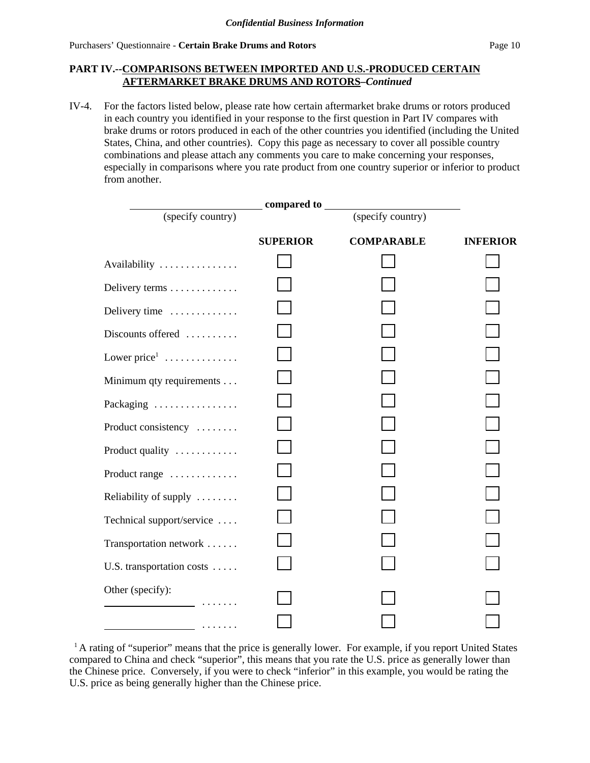### **PART IV.--COMPARISONS BETWEEN IMPORTED AND U.S.-PRODUCED CERTAIN AFTERMARKET BRAKE DRUMS AND ROTORS–***Continued*

IV-4. For the factors listed below, please rate how certain aftermarket brake drums or rotors produced in each country you identified in your response to the first question in Part IV compares with brake drums or rotors produced in each of the other countries you identified (including the United States, China, and other countries). Copy this page as necessary to cover all possible country combinations and please attach any comments you care to make concerning your responses, especially in comparisons where you rate product from one country superior or inferior to product from another.

|                                         | _compared to    |                   |                 |
|-----------------------------------------|-----------------|-------------------|-----------------|
| (specify country)                       |                 | (specify country) |                 |
|                                         | <b>SUPERIOR</b> | <b>COMPARABLE</b> | <b>INFERIOR</b> |
| Availability                            |                 |                   |                 |
| Delivery terms                          |                 |                   |                 |
| Delivery time                           |                 |                   |                 |
| Discounts offered                       |                 |                   |                 |
| Lower price $1, \ldots, \ldots, \ldots$ |                 |                   |                 |
| Minimum qty requirements                |                 |                   |                 |
| Packaging                               |                 |                   |                 |
| Product consistency                     |                 |                   |                 |
| Product quality                         |                 |                   |                 |
| Product range                           |                 |                   |                 |
| Reliability of supply                   |                 |                   |                 |
| Technical support/service               |                 |                   |                 |
| Transportation network                  |                 |                   |                 |
| U.S. transportation costs               |                 |                   |                 |
| Other (specify):                        |                 |                   |                 |
| <u>.</u>                                |                 |                   |                 |

<sup>&</sup>lt;sup>1</sup> A rating of "superior" means that the price is generally lower. For example, if you report United States compared to China and check "superior", this means that you rate the U.S. price as generally lower than the Chinese price. Conversely, if you were to check "inferior" in this example, you would be rating the U.S. price as being generally higher than the Chinese price.